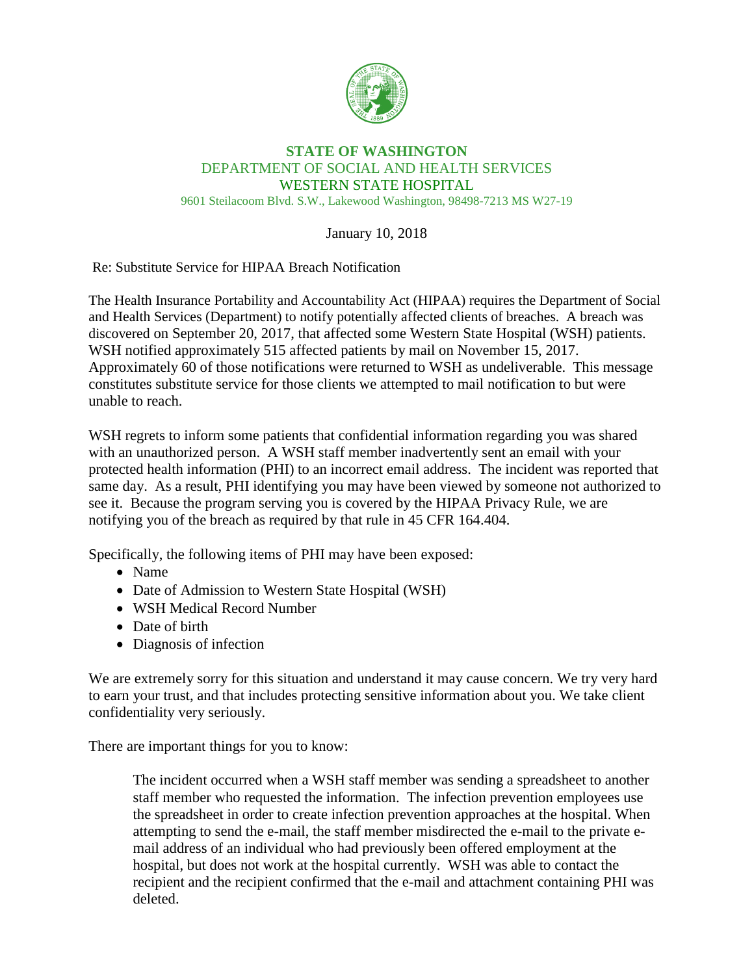

## **STATE OF WASHINGTON** DEPARTMENT OF SOCIAL AND HEALTH SERVICES WESTERN STATE HOSPITAL 9601 Steilacoom Blvd. S.W., Lakewood Washington, 98498-7213 MS W27-19

January 10, 2018

Re: Substitute Service for HIPAA Breach Notification

The Health Insurance Portability and Accountability Act (HIPAA) requires the Department of Social and Health Services (Department) to notify potentially affected clients of breaches. A breach was discovered on September 20, 2017, that affected some Western State Hospital (WSH) patients. WSH notified approximately 515 affected patients by mail on November 15, 2017. Approximately 60 of those notifications were returned to WSH as undeliverable. This message constitutes substitute service for those clients we attempted to mail notification to but were unable to reach.

WSH regrets to inform some patients that confidential information regarding you was shared with an unauthorized person. A WSH staff member inadvertently sent an email with your protected health information (PHI) to an incorrect email address. The incident was reported that same day. As a result, PHI identifying you may have been viewed by someone not authorized to see it. Because the program serving you is covered by the HIPAA Privacy Rule, we are notifying you of the breach as required by that rule in 45 CFR 164.404.

Specifically, the following items of PHI may have been exposed:

- Name
- Date of Admission to Western State Hospital (WSH)
- WSH Medical Record Number
- Date of birth
- Diagnosis of infection

We are extremely sorry for this situation and understand it may cause concern. We try very hard to earn your trust, and that includes protecting sensitive information about you. We take client confidentiality very seriously.

There are important things for you to know:

The incident occurred when a WSH staff member was sending a spreadsheet to another staff member who requested the information. The infection prevention employees use the spreadsheet in order to create infection prevention approaches at the hospital. When attempting to send the e-mail, the staff member misdirected the e-mail to the private email address of an individual who had previously been offered employment at the hospital, but does not work at the hospital currently. WSH was able to contact the recipient and the recipient confirmed that the e-mail and attachment containing PHI was deleted.